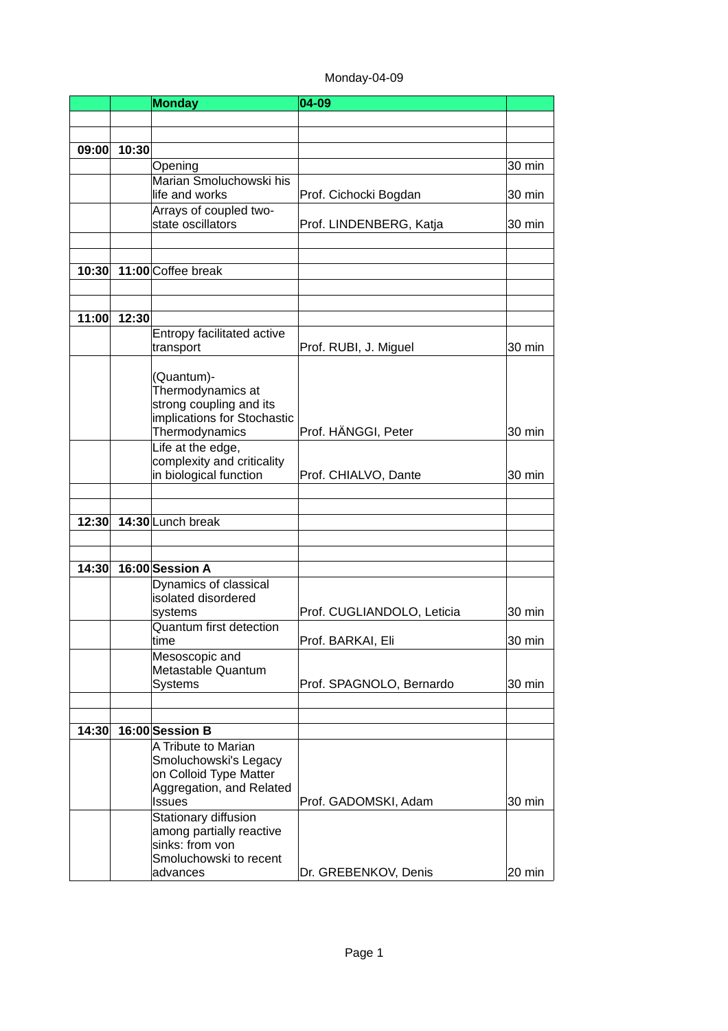# Monday-04-09

|       |       | <b>Monday</b>                                        | 04-09                      |          |
|-------|-------|------------------------------------------------------|----------------------------|----------|
|       |       |                                                      |                            |          |
|       |       |                                                      |                            |          |
| 09:00 | 10:30 |                                                      |                            |          |
|       |       | Opening                                              |                            | 30 min   |
|       |       | Marian Smoluchowski his                              |                            |          |
|       |       | life and works                                       | Prof. Cichocki Bogdan      | 30 min   |
|       |       | Arrays of coupled two-                               |                            |          |
|       |       | state oscillators                                    | Prof. LINDENBERG, Katja    | 30 min   |
|       |       |                                                      |                            |          |
|       |       |                                                      |                            |          |
| 10:30 |       | 11:00 Coffee break                                   |                            |          |
|       |       |                                                      |                            |          |
|       |       |                                                      |                            |          |
| 11:00 | 12:30 |                                                      |                            |          |
|       |       | Entropy facilitated active<br>transport              | Prof. RUBI, J. Miguel      | 30 min   |
|       |       |                                                      |                            |          |
|       |       | (Quantum)-                                           |                            |          |
|       |       | Thermodynamics at                                    |                            |          |
|       |       | strong coupling and its                              |                            |          |
|       |       | implications for Stochastic                          |                            |          |
|       |       | Thermodynamics                                       | Prof. HÄNGGI, Peter        | 30 min   |
|       |       | Life at the edge,                                    |                            |          |
|       |       | complexity and criticality<br>in biological function | Prof. CHIALVO, Dante       | 30 min   |
|       |       |                                                      |                            |          |
|       |       |                                                      |                            |          |
| 12:30 |       | 14:30 Lunch break                                    |                            |          |
|       |       |                                                      |                            |          |
|       |       |                                                      |                            |          |
| 14:30 |       | 16:00 Session A                                      |                            |          |
|       |       | Dynamics of classical                                |                            |          |
|       |       | isolated disordered                                  |                            |          |
|       |       | systems                                              | Prof. CUGLIANDOLO, Leticia | 30 min   |
|       |       | Quantum first detection                              |                            |          |
|       |       | time                                                 | Prof. BARKAI, Eli          | $30$ min |
|       |       | Mesoscopic and<br>Metastable Quantum                 |                            |          |
|       |       | <b>Systems</b>                                       | Prof. SPAGNOLO, Bernardo   | 30 min   |
|       |       |                                                      |                            |          |
|       |       |                                                      |                            |          |
| 14:30 |       | 16:00 Session B                                      |                            |          |
|       |       | A Tribute to Marian                                  |                            |          |
|       |       | Smoluchowski's Legacy                                |                            |          |
|       |       | on Colloid Type Matter                               |                            |          |
|       |       | Aggregation, and Related                             |                            |          |
|       |       | <b>Issues</b>                                        | Prof. GADOMSKI, Adam       | 30 min   |
|       |       | Stationary diffusion<br>among partially reactive     |                            |          |
|       |       | sinks: from von                                      |                            |          |
|       |       | Smoluchowski to recent                               |                            |          |
|       |       | advances                                             | Dr. GREBENKOV, Denis       | 20 min   |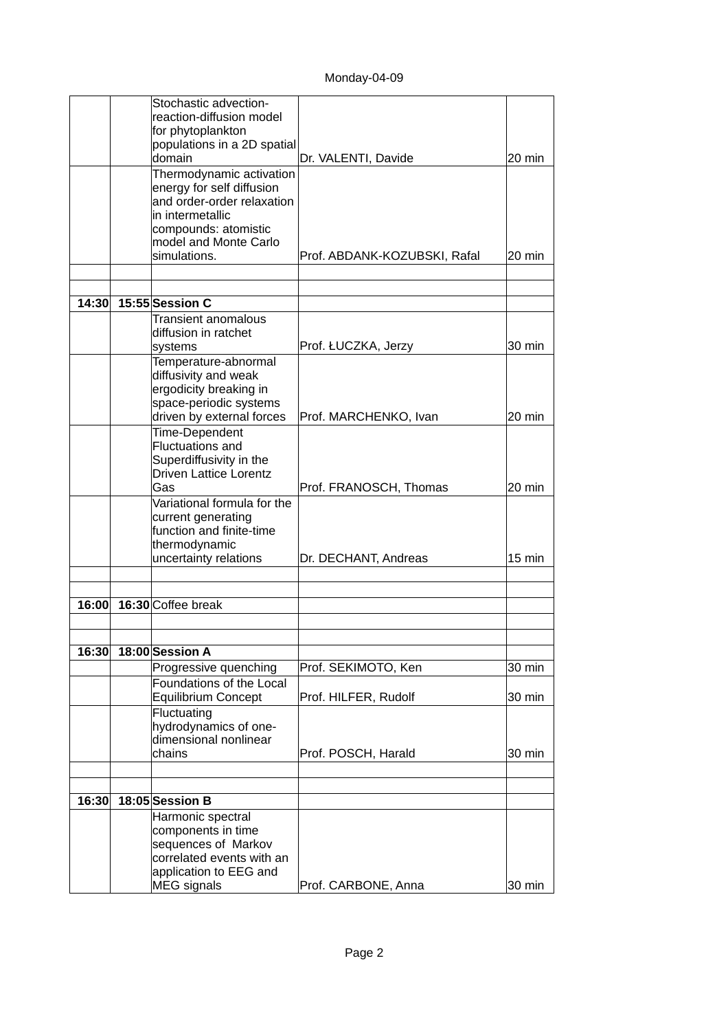|       | Stochastic advection-         |                              |        |
|-------|-------------------------------|------------------------------|--------|
|       | reaction-diffusion model      |                              |        |
|       | for phytoplankton             |                              |        |
|       | populations in a 2D spatial   |                              |        |
|       | domain                        | Dr. VALENTI, Davide          | 20 min |
|       |                               |                              |        |
|       | Thermodynamic activation      |                              |        |
|       | energy for self diffusion     |                              |        |
|       | and order-order relaxation    |                              |        |
|       | in intermetallic              |                              |        |
|       | compounds: atomistic          |                              |        |
|       | model and Monte Carlo         |                              |        |
|       | simulations.                  | Prof. ABDANK-KOZUBSKI, Rafal | 20 min |
|       |                               |                              |        |
|       |                               |                              |        |
| 14:30 | 15:55 Session C               |                              |        |
|       | Transient anomalous           |                              |        |
|       | diffusion in ratchet          |                              |        |
|       | systems                       | Prof. ŁUCZKA, Jerzy          | 30 min |
|       | Temperature-abnormal          |                              |        |
|       | diffusivity and weak          |                              |        |
|       | ergodicity breaking in        |                              |        |
|       | space-periodic systems        |                              |        |
|       |                               |                              | 20 min |
|       | driven by external forces     | Prof. MARCHENKO, Ivan        |        |
|       | Time-Dependent                |                              |        |
|       | <b>Fluctuations and</b>       |                              |        |
|       | Superdiffusivity in the       |                              |        |
|       | <b>Driven Lattice Lorentz</b> |                              |        |
|       | Gas                           | Prof. FRANOSCH, Thomas       | 20 min |
|       | Variational formula for the   |                              |        |
|       | current generating            |                              |        |
|       | function and finite-time      |                              |        |
|       | thermodynamic                 |                              |        |
|       | uncertainty relations         | Dr. DECHANT, Andreas         | 15 min |
|       |                               |                              |        |
|       |                               |                              |        |
| 16:00 | 16:30 Coffee break            |                              |        |
|       |                               |                              |        |
|       |                               |                              |        |
| 16:30 | 18:00 Session A               |                              |        |
|       |                               |                              |        |
|       | Progressive quenching         | Prof. SEKIMOTO, Ken          | 30 min |
|       | Foundations of the Local      |                              |        |
|       | Equilibrium Concept           | Prof. HILFER, Rudolf         | 30 min |
|       | Fluctuating                   |                              |        |
|       | hydrodynamics of one-         |                              |        |
|       | dimensional nonlinear         |                              |        |
|       | chains                        | Prof. POSCH, Harald          | 30 min |
|       |                               |                              |        |
|       |                               |                              |        |
| 16:30 | 18:05 Session B               |                              |        |
|       | Harmonic spectral             |                              |        |
|       | components in time            |                              |        |
|       | sequences of Markov           |                              |        |
|       | correlated events with an     |                              |        |
|       | application to EEG and        |                              |        |
|       | <b>MEG</b> signals            | Prof. CARBONE, Anna          | 30 min |
|       |                               |                              |        |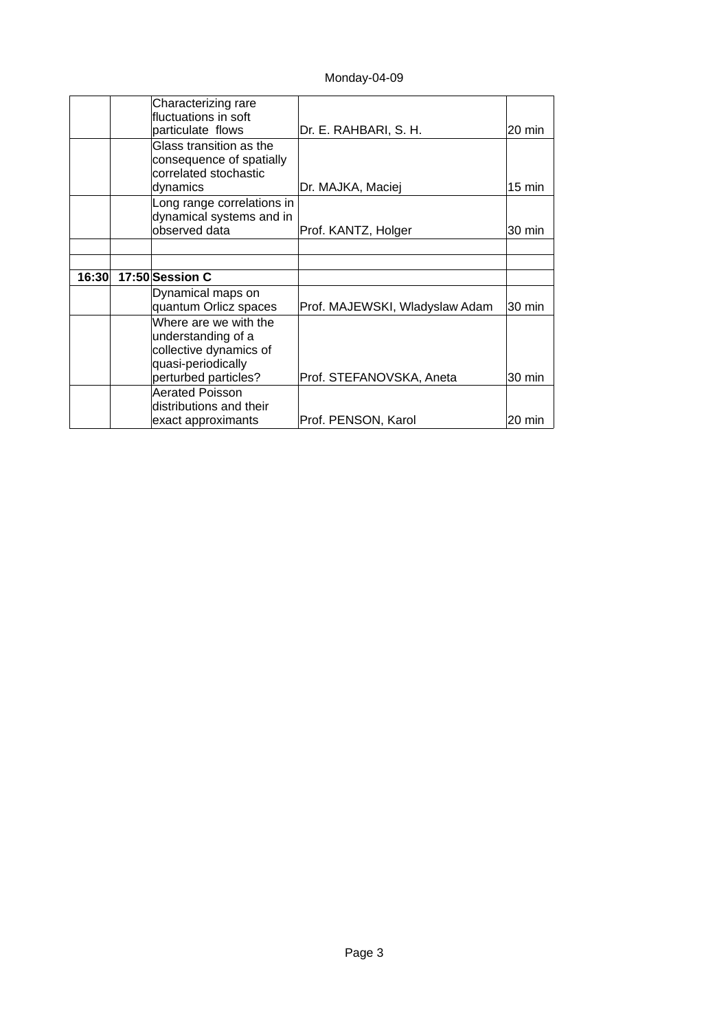Monday-04-09

|       | Characterizing rare<br>fluctuations in soft<br>particulate flows                                                    | Dr. E. RAHBARI, S. H.          | 20 min |
|-------|---------------------------------------------------------------------------------------------------------------------|--------------------------------|--------|
|       | Glass transition as the<br>consequence of spatially<br>correlated stochastic<br>dynamics                            | Dr. MAJKA, Maciej              | 15 min |
|       | Long range correlations in<br>dynamical systems and in<br>observed data                                             | Prof. KANTZ, Holger            | 30 min |
|       |                                                                                                                     |                                |        |
| 16:30 | 17:50 Session C                                                                                                     |                                |        |
|       | Dynamical maps on<br>quantum Orlicz spaces                                                                          | Prof. MAJEWSKI, Wladyslaw Adam | 30 min |
|       | Where are we with the<br>understanding of a<br>collective dynamics of<br>quasi-periodically<br>perturbed particles? | Prof. STEFANOVSKA, Aneta       | 30 min |
|       | <b>Aerated Poisson</b><br>distributions and their<br>exact approximants                                             | Prof. PENSON, Karol            | 20 min |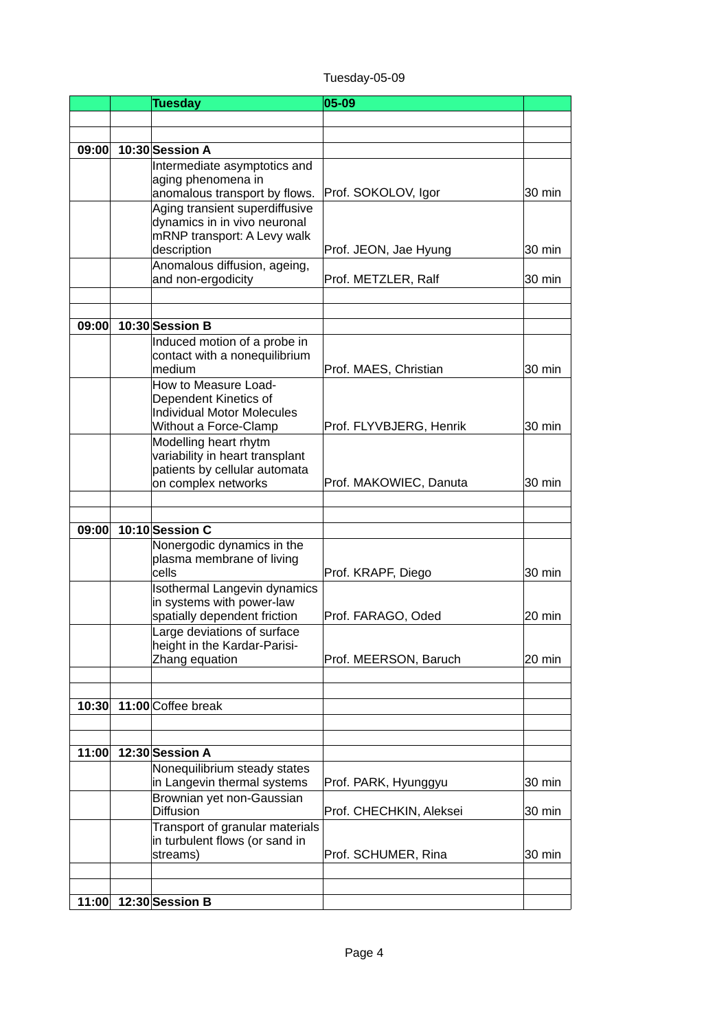| Tuesday-05-09 |
|---------------|
|---------------|

|       | <b>Tuesday</b>                                                   | 05-09                   |        |
|-------|------------------------------------------------------------------|-------------------------|--------|
|       |                                                                  |                         |        |
|       |                                                                  |                         |        |
| 09:00 | 10:30 Session A                                                  |                         |        |
|       | Intermediate asymptotics and                                     |                         |        |
|       | aging phenomena in<br>anomalous transport by flows.              | Prof. SOKOLOV, Igor     | 30 min |
|       | Aging transient superdiffusive                                   |                         |        |
|       | dynamics in in vivo neuronal                                     |                         |        |
|       | mRNP transport: A Levy walk                                      |                         |        |
|       | description                                                      | Prof. JEON, Jae Hyung   | 30 min |
|       | Anomalous diffusion, ageing,                                     |                         |        |
|       | and non-ergodicity                                               | Prof. METZLER, Ralf     | 30 min |
|       |                                                                  |                         |        |
| 09:00 | 10:30 Session B                                                  |                         |        |
|       | Induced motion of a probe in                                     |                         |        |
|       | contact with a nonequilibrium                                    |                         |        |
|       | medium                                                           | Prof. MAES, Christian   | 30 min |
|       | How to Measure Load-<br>Dependent Kinetics of                    |                         |        |
|       | <b>Individual Motor Molecules</b>                                |                         |        |
|       | Without a Force-Clamp                                            | Prof. FLYVBJERG, Henrik | 30 min |
|       | Modelling heart rhytm                                            |                         |        |
|       | variability in heart transplant<br>patients by cellular automata |                         |        |
|       | on complex networks                                              | Prof. MAKOWIEC, Danuta  | 30 min |
|       |                                                                  |                         |        |
|       |                                                                  |                         |        |
| 09:00 | 10:10 Session C                                                  |                         |        |
|       | Nonergodic dynamics in the<br>plasma membrane of living          |                         |        |
|       | cells                                                            | Prof. KRAPF, Diego      | 30 min |
|       | <b>Isothermal Langevin dynamics</b>                              |                         |        |
|       | in systems with power-law                                        |                         |        |
|       | spatially dependent friction                                     | Prof. FARAGO, Oded      | 20 min |
|       | Large deviations of surface<br>height in the Kardar-Parisi-      |                         |        |
|       | Zhang equation                                                   | Prof. MEERSON, Baruch   | 20 min |
|       |                                                                  |                         |        |
|       |                                                                  |                         |        |
| 10:30 | 11:00 Coffee break                                               |                         |        |
|       |                                                                  |                         |        |
| 11:00 | 12:30 Session A                                                  |                         |        |
|       | Nonequilibrium steady states                                     |                         |        |
|       | in Langevin thermal systems                                      | Prof. PARK, Hyunggyu    | 30 min |
|       | Brownian yet non-Gaussian                                        |                         |        |
|       | <b>Diffusion</b><br>Transport of granular materials              | Prof. CHECHKIN, Aleksei | 30 min |
|       | in turbulent flows (or sand in                                   |                         |        |
|       | streams)                                                         | Prof. SCHUMER, Rina     | 30 min |
|       |                                                                  |                         |        |
|       |                                                                  |                         |        |
|       | 11:00 12:30 Session B                                            |                         |        |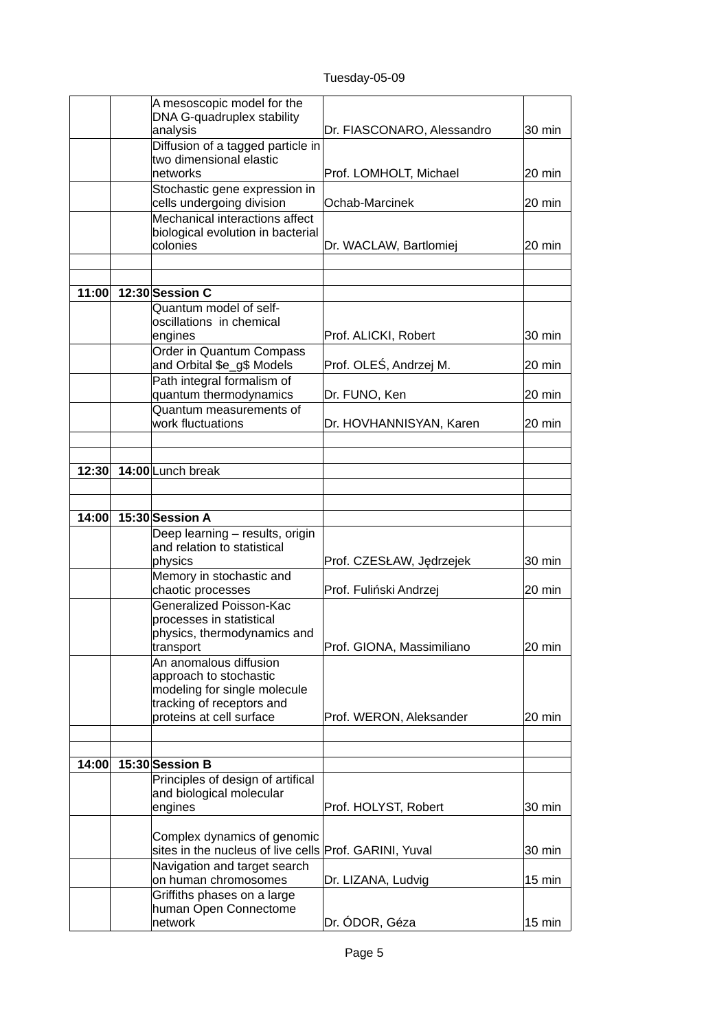Tuesday-05-09

| DNA G-quadruplex stability<br>analysis<br>Diffusion of a tagged particle in<br>two dimensional elastic<br>networks<br>Stochastic gene expression in | Dr. FIASCONARO, Alessandro<br>Prof. LOMHOLT, Michael<br>Ochab-Marcinek | 30 min<br>20 min<br>20 min |
|-----------------------------------------------------------------------------------------------------------------------------------------------------|------------------------------------------------------------------------|----------------------------|
|                                                                                                                                                     |                                                                        |                            |
|                                                                                                                                                     |                                                                        |                            |
|                                                                                                                                                     |                                                                        |                            |
|                                                                                                                                                     |                                                                        |                            |
| cells undergoing division<br>Mechanical interactions affect                                                                                         |                                                                        |                            |
| biological evolution in bacterial<br>colonies                                                                                                       | Dr. WACLAW, Bartlomiej                                                 | 20 min                     |
|                                                                                                                                                     |                                                                        |                            |
| 11:00<br>12:30 Session C                                                                                                                            |                                                                        |                            |
| Quantum model of self-                                                                                                                              |                                                                        |                            |
| oscillations in chemical<br>engines                                                                                                                 | Prof. ALICKI, Robert                                                   | 30 min                     |
| Order in Quantum Compass<br>and Orbital \$e_g\$ Models                                                                                              | Prof. OLEŚ, Andrzej M.                                                 | 20 min                     |
| Path integral formalism of<br>quantum thermodynamics                                                                                                | Dr. FUNO, Ken                                                          | 20 min                     |
| Quantum measurements of<br>work fluctuations                                                                                                        | Dr. HOVHANNISYAN, Karen                                                | 20 min                     |
|                                                                                                                                                     |                                                                        |                            |
| 14:00 Lunch break<br>12:30                                                                                                                          |                                                                        |                            |
|                                                                                                                                                     |                                                                        |                            |
| 15:30 Session A<br>14:00                                                                                                                            |                                                                        |                            |
| Deep learning - results, origin<br>and relation to statistical                                                                                      |                                                                        |                            |
| physics                                                                                                                                             | Prof. CZESŁAW, Jędrzejek                                               | 30 min                     |
| Memory in stochastic and                                                                                                                            |                                                                        |                            |
| chaotic processes<br>Generalized Poisson-Kac                                                                                                        | Prof. Fuliński Andrzej                                                 | 20 min                     |
| processes in statistical                                                                                                                            |                                                                        |                            |
| physics, thermodynamics and                                                                                                                         |                                                                        |                            |
| transport<br>An anomalous diffusion                                                                                                                 | Prof. GIONA, Massimiliano                                              | 20 min                     |
| approach to stochastic<br>modeling for single molecule                                                                                              |                                                                        |                            |
| tracking of receptors and<br>proteins at cell surface                                                                                               | Prof. WERON, Aleksander                                                | 20 min                     |
|                                                                                                                                                     |                                                                        |                            |
| 14:00<br>15:30 Session B                                                                                                                            |                                                                        |                            |
| Principles of design of artifical                                                                                                                   |                                                                        |                            |
| and biological molecular<br>engines                                                                                                                 | Prof. HOLYST, Robert                                                   | 30 min                     |
| Complex dynamics of genomic<br>sites in the nucleus of live cells Prof. GARINI, Yuval                                                               |                                                                        | 30 min                     |
| Navigation and target search<br>on human chromosomes                                                                                                | Dr. LIZANA, Ludvig                                                     | 15 min                     |
| Griffiths phases on a large<br>human Open Connectome<br>network                                                                                     | Dr. ÓDOR, Géza                                                         | 15 min                     |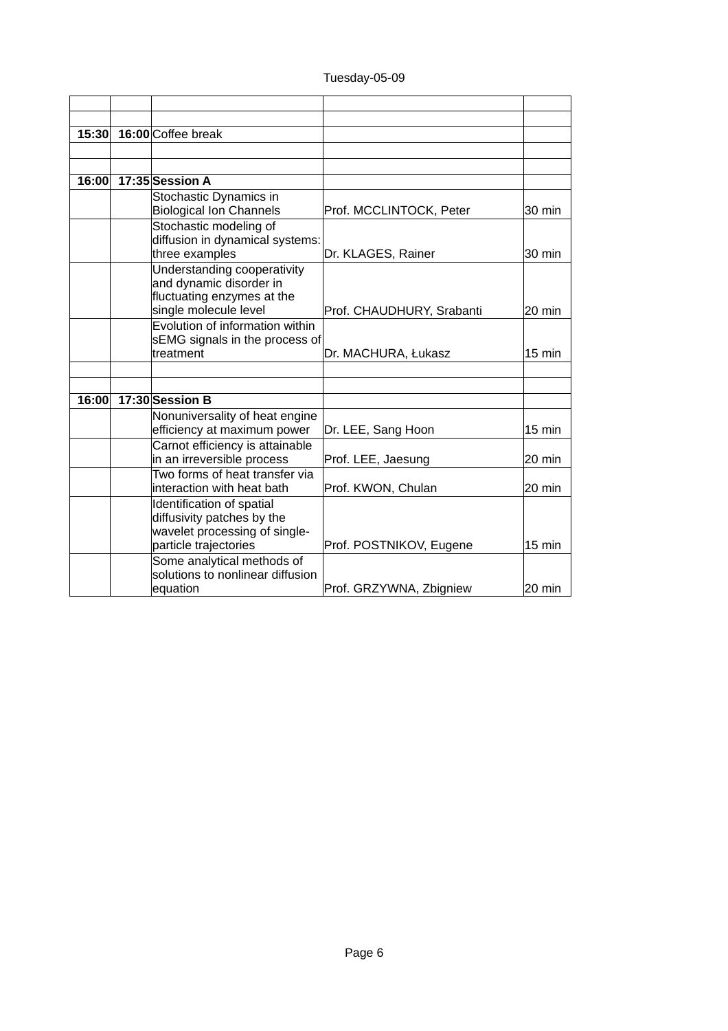| 15:30 | 16:00 Coffee break                                          |                           |                  |
|-------|-------------------------------------------------------------|---------------------------|------------------|
|       |                                                             |                           |                  |
|       |                                                             |                           |                  |
| 16:00 | 17:35 Session A                                             |                           |                  |
|       | Stochastic Dynamics in                                      |                           |                  |
|       | <b>Biological Ion Channels</b>                              | Prof. MCCLINTOCK, Peter   | 30 min           |
|       | Stochastic modeling of                                      |                           |                  |
|       | diffusion in dynamical systems:                             |                           |                  |
|       | three examples                                              | Dr. KLAGES, Rainer        | 30 min           |
|       | Understanding cooperativity                                 |                           |                  |
|       | and dynamic disorder in<br>fluctuating enzymes at the       |                           |                  |
|       | single molecule level                                       | Prof. CHAUDHURY, Srabanti | 20 min           |
|       | Evolution of information within                             |                           |                  |
|       | sEMG signals in the process of                              |                           |                  |
|       | treatment                                                   | Dr. MACHURA, Łukasz       | $15 \text{ min}$ |
|       |                                                             |                           |                  |
|       |                                                             |                           |                  |
| 16:00 | 17:30 Session B                                             |                           |                  |
|       | Nonuniversality of heat engine                              |                           |                  |
|       | efficiency at maximum power                                 | Dr. LEE, Sang Hoon        | 15 min           |
|       | Carnot efficiency is attainable                             |                           |                  |
|       | in an irreversible process                                  | Prof. LEE, Jaesung        | 20 min           |
|       | Two forms of heat transfer via                              |                           |                  |
|       | interaction with heat bath                                  | Prof. KWON, Chulan        | 20 min           |
|       | Identification of spatial                                   |                           |                  |
|       | diffusivity patches by the<br>wavelet processing of single- |                           |                  |
|       | particle trajectories                                       | Prof. POSTNIKOV, Eugene   | 15 min           |
|       | Some analytical methods of                                  |                           |                  |
|       | solutions to nonlinear diffusion                            |                           |                  |
|       | equation                                                    | Prof. GRZYWNA, Zbigniew   | 20 min           |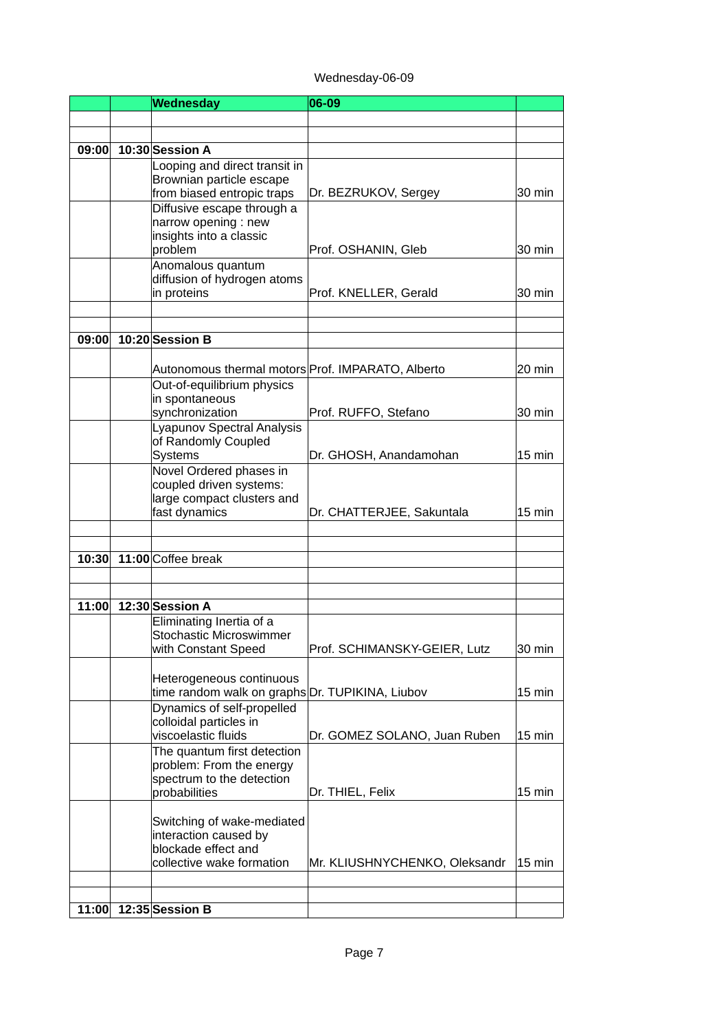#### Wednesday-06-09

|       | <b>Wednesday</b>                                          | 06-09                         |        |
|-------|-----------------------------------------------------------|-------------------------------|--------|
|       |                                                           |                               |        |
|       |                                                           |                               |        |
| 09:00 | 10:30 Session A                                           |                               |        |
|       | Looping and direct transit in<br>Brownian particle escape |                               |        |
|       | from biased entropic traps                                | Dr. BEZRUKOV, Sergey          | 30 min |
|       | Diffusive escape through a                                |                               |        |
|       | narrow opening : new                                      |                               |        |
|       | insights into a classic<br>problem                        |                               |        |
|       | Anomalous quantum                                         | Prof. OSHANIN, Gleb           | 30 min |
|       | diffusion of hydrogen atoms                               |                               |        |
|       | in proteins                                               | Prof. KNELLER, Gerald         | 30 min |
|       |                                                           |                               |        |
|       | 10:20 Session B                                           |                               |        |
| 09:00 |                                                           |                               |        |
|       | Autonomous thermal motors Prof. IMPARATO, Alberto         |                               | 20 min |
|       | Out-of-equilibrium physics                                |                               |        |
|       | in spontaneous                                            |                               |        |
|       | synchronization<br><b>Lyapunov Spectral Analysis</b>      | Prof. RUFFO, Stefano          | 30 min |
|       | of Randomly Coupled                                       |                               |        |
|       | <b>Systems</b>                                            | Dr. GHOSH, Anandamohan        | 15 min |
|       | Novel Ordered phases in                                   |                               |        |
|       | coupled driven systems:                                   |                               |        |
|       | large compact clusters and<br>fast dynamics               | Dr. CHATTERJEE, Sakuntala     | 15 min |
|       |                                                           |                               |        |
| 10:30 | 11:00 Coffee break                                        |                               |        |
|       |                                                           |                               |        |
| 11:00 | 12:30 Session A                                           |                               |        |
|       | Eliminating Inertia of a<br>Stochastic Microswimmer       |                               |        |
|       | with Constant Speed                                       | Prof. SCHIMANSKY-GEIER, Lutz  | 30 min |
|       |                                                           |                               |        |
|       | Heterogeneous continuous                                  |                               |        |
|       | time random walk on graphs Dr. TUPIKINA, Liubov           |                               | 15 min |
|       | Dynamics of self-propelled<br>colloidal particles in      |                               |        |
|       | viscoelastic fluids                                       | Dr. GOMEZ SOLANO, Juan Ruben  | 15 min |
|       | The quantum first detection                               |                               |        |
|       | problem: From the energy                                  |                               |        |
|       | spectrum to the detection<br>probabilities                | Dr. THIEL, Felix              | 15 min |
|       |                                                           |                               |        |
|       | Switching of wake-mediated                                |                               |        |
|       | interaction caused by<br>blockade effect and              |                               |        |
|       | collective wake formation                                 | Mr. KLIUSHNYCHENKO, Oleksandr | 15 min |
|       |                                                           |                               |        |
|       |                                                           |                               |        |
| 11:00 | 12:35 Session B                                           |                               |        |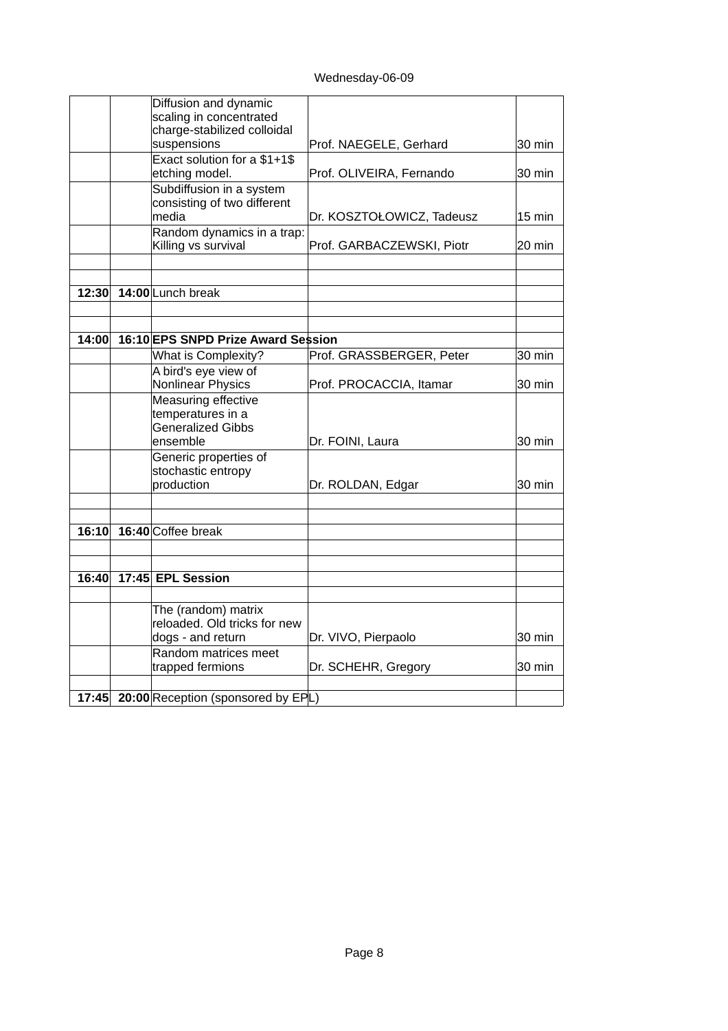Wednesday-06-09

|       | Diffusion and dynamic                    |                           |        |
|-------|------------------------------------------|---------------------------|--------|
|       | scaling in concentrated                  |                           |        |
|       | charge-stabilized colloidal              |                           |        |
|       | suspensions                              | Prof. NAEGELE, Gerhard    | 30 min |
|       | Exact solution for a \$1+1\$             |                           |        |
|       | etching model.                           | Prof. OLIVEIRA, Fernando  | 30 min |
|       | Subdiffusion in a system                 |                           |        |
|       | consisting of two different              |                           |        |
|       | media                                    | Dr. KOSZTOŁOWICZ, Tadeusz | 15 min |
|       | Random dynamics in a trap:               |                           |        |
|       | Killing vs survival                      | Prof. GARBACZEWSKI, Piotr | 20 min |
|       |                                          |                           |        |
| 12:30 | 14:00 Lunch break                        |                           |        |
|       |                                          |                           |        |
|       |                                          |                           |        |
| 14:00 | 16:10 EPS SNPD Prize Award Session       |                           |        |
|       | What is Complexity?                      | Prof. GRASSBERGER, Peter  | 30 min |
|       | A bird's eye view of                     |                           |        |
|       | Nonlinear Physics                        | Prof. PROCACCIA, Itamar   | 30 min |
|       | Measuring effective                      |                           |        |
|       | temperatures in a                        |                           |        |
|       | <b>Generalized Gibbs</b>                 |                           |        |
|       | ensemble                                 | Dr. FOINI, Laura          | 30 min |
|       | Generic properties of                    |                           |        |
|       | stochastic entropy                       |                           |        |
|       | production                               | Dr. ROLDAN, Edgar         | 30 min |
|       |                                          |                           |        |
| 16:10 | 16:40 Coffee break                       |                           |        |
|       |                                          |                           |        |
|       |                                          |                           |        |
| 16:40 | 17:45 EPL Session                        |                           |        |
|       | The (random) matrix                      |                           |        |
|       | reloaded. Old tricks for new             |                           |        |
|       | dogs - and return                        | Dr. VIVO, Pierpaolo       | 30 min |
|       | Random matrices meet                     |                           |        |
|       | trapped fermions                         | Dr. SCHEHR, Gregory       | 30 min |
|       |                                          |                           |        |
|       | 17:45 20:00 Reception (sponsored by EPL) |                           |        |
|       |                                          |                           |        |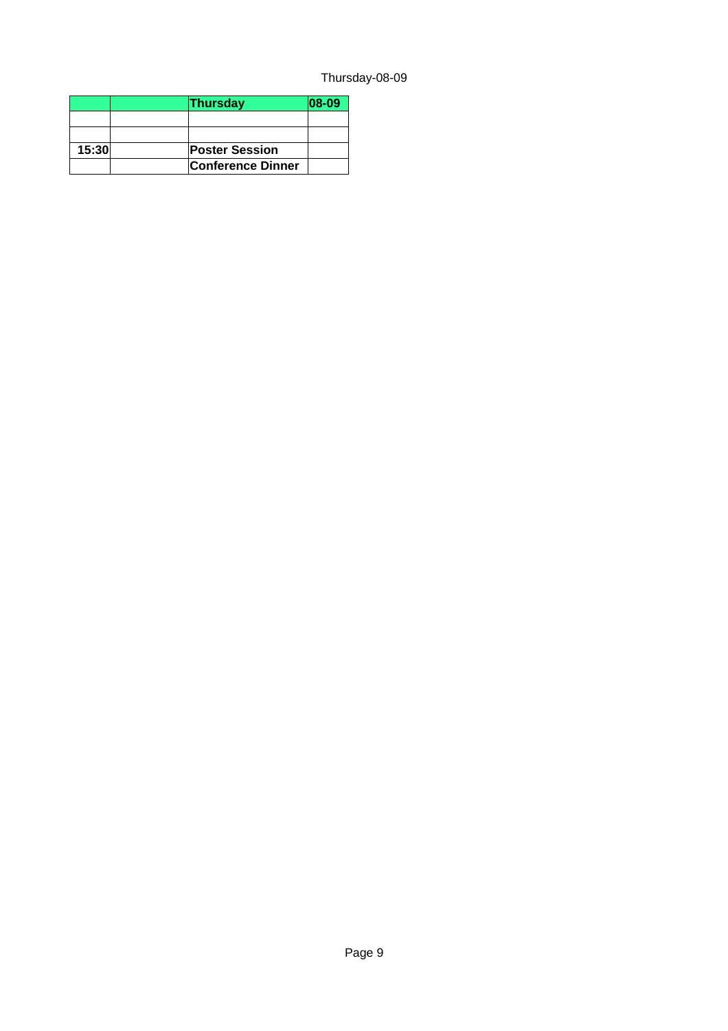# Thursday-08-09

|       | <b>Thursday</b>       | 08-09 |
|-------|-----------------------|-------|
|       |                       |       |
|       |                       |       |
| 15:30 | <b>Poster Session</b> |       |
|       | Conference Dinner     |       |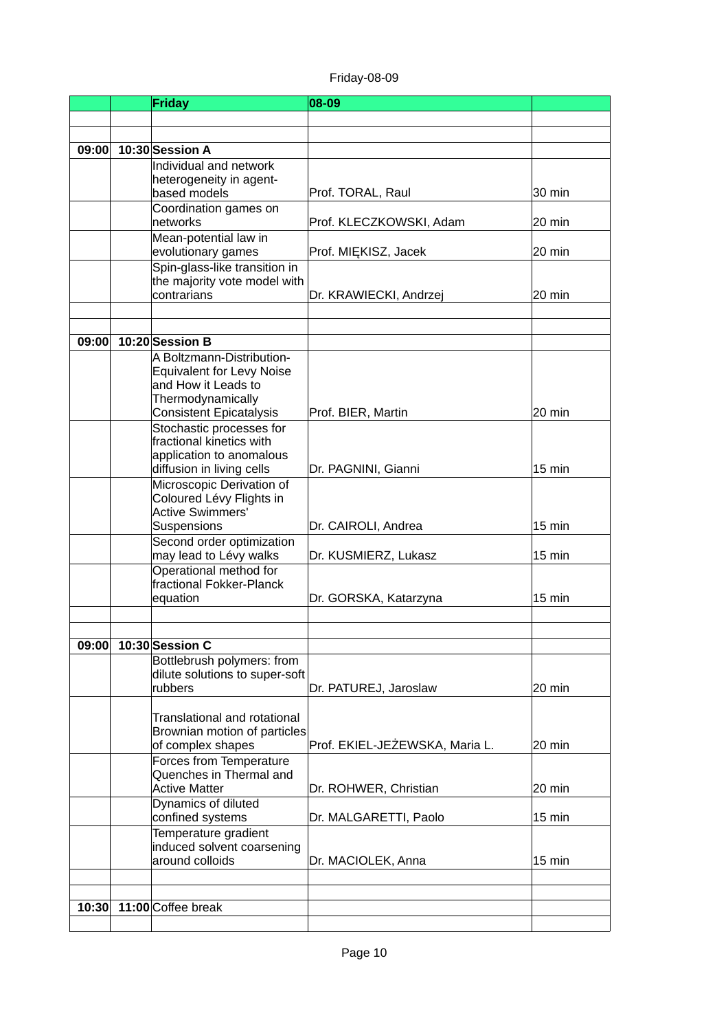# Friday-08-09

|       | <b>Friday</b>                                                | 08-09                          |                  |
|-------|--------------------------------------------------------------|--------------------------------|------------------|
|       |                                                              |                                |                  |
|       |                                                              |                                |                  |
| 09:00 | 10:30 Session A                                              |                                |                  |
|       | Individual and network                                       |                                |                  |
|       | heterogeneity in agent-<br>based models                      | Prof. TORAL, Raul              | 30 min           |
|       | Coordination games on                                        |                                |                  |
|       | networks                                                     | Prof. KLECZKOWSKI, Adam        | 20 min           |
|       | Mean-potential law in                                        |                                |                  |
|       | evolutionary games                                           | Prof. MIEKISZ, Jacek           | 20 min           |
|       | Spin-glass-like transition in                                |                                |                  |
|       | the majority vote model with<br>contrarians                  | Dr. KRAWIECKI, Andrzej         | 20 min           |
|       |                                                              |                                |                  |
|       |                                                              |                                |                  |
| 09:00 | 10:20 Session B                                              |                                |                  |
|       | A Boltzmann-Distribution-                                    |                                |                  |
|       | <b>Equivalent for Levy Noise</b>                             |                                |                  |
|       | and How it Leads to<br>Thermodynamically                     |                                |                  |
|       | <b>Consistent Epicatalysis</b>                               | Prof. BIER, Martin             | 20 min           |
|       | Stochastic processes for                                     |                                |                  |
|       | fractional kinetics with                                     |                                |                  |
|       | application to anomalous                                     |                                |                  |
|       | diffusion in living cells                                    | Dr. PAGNINI, Gianni            | $15 \text{ min}$ |
|       | Microscopic Derivation of<br>Coloured Lévy Flights in        |                                |                  |
|       | <b>Active Swimmers'</b>                                      |                                |                  |
|       | Suspensions                                                  | Dr. CAIROLI, Andrea            | $15 \text{ min}$ |
|       | Second order optimization                                    |                                |                  |
|       | may lead to Lévy walks<br>Operational method for             | Dr. KUSMIERZ, Lukasz           | $15 \text{ min}$ |
|       | fractional Fokker-Planck                                     |                                |                  |
|       | equation                                                     | Dr. GORSKA, Katarzyna          | $15 \text{ min}$ |
|       |                                                              |                                |                  |
|       |                                                              |                                |                  |
| 09:00 | <b>10:30 Session C</b>                                       |                                |                  |
|       | Bottlebrush polymers: from<br>dilute solutions to super-soft |                                |                  |
|       | rubbers                                                      | Dr. PATUREJ, Jaroslaw          | 20 min           |
|       |                                                              |                                |                  |
|       | Translational and rotational                                 |                                |                  |
|       | Brownian motion of particles                                 |                                |                  |
|       | of complex shapes                                            | Prof. EKIEL-JEZEWSKA, Maria L. | 20 min           |
|       | Forces from Temperature<br>Quenches in Thermal and           |                                |                  |
|       | <b>Active Matter</b>                                         | Dr. ROHWER, Christian          | 20 min           |
|       | Dynamics of diluted                                          |                                |                  |
|       | confined systems                                             | Dr. MALGARETTI, Paolo          | 15 min           |
|       | Temperature gradient                                         |                                |                  |
|       | induced solvent coarsening<br>around colloids                | Dr. MACIOLEK, Anna             | $15 \text{ min}$ |
|       |                                                              |                                |                  |
|       |                                                              |                                |                  |
| 10:30 | 11:00 Coffee break                                           |                                |                  |
|       |                                                              |                                |                  |